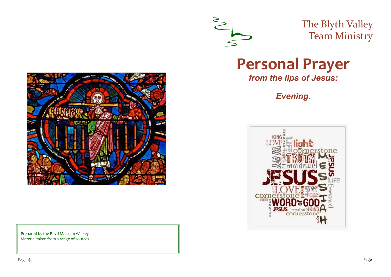

The Blyth Valley Team Ministry

**Personal Prayer** 

*from the lips of Jesus:* 

*Evening.*





Prepared by the Revd Malcolm Walkey Material taken from a range of sources